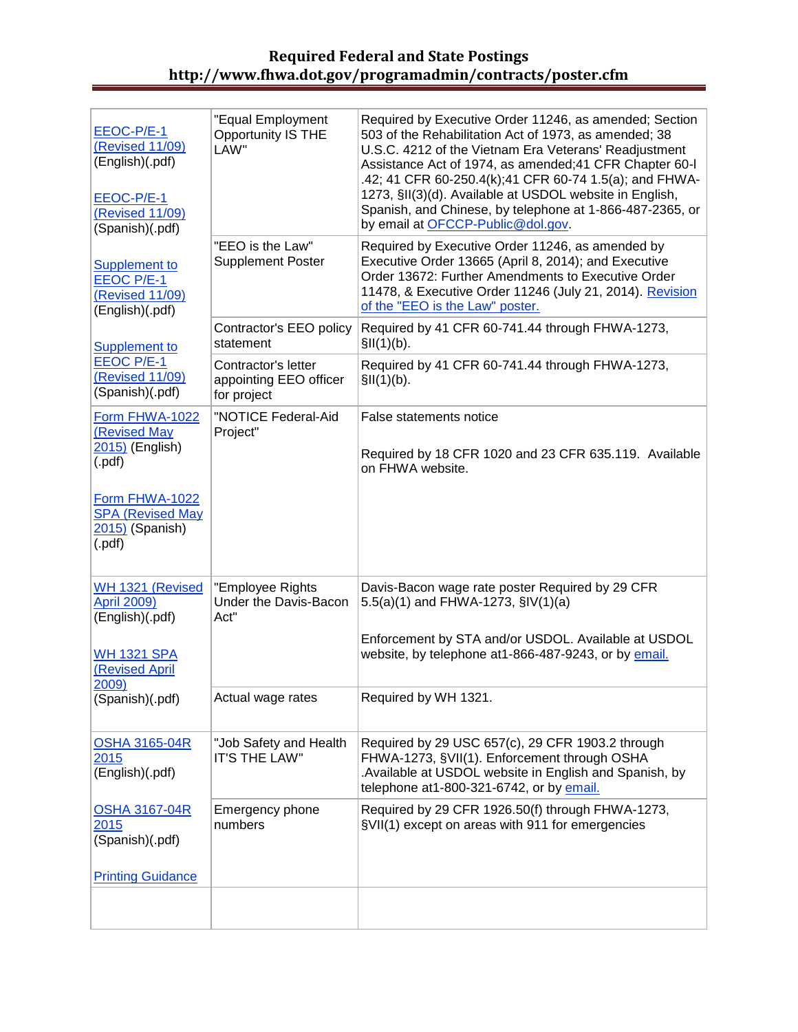## **Required Federal and State Postings http://www.fhwa.dot.gov/programadmin/contracts/poster.cfm**

| EEOC-P/E-1<br>(Revised 11/09)<br>(English)(.pdf)<br>EEOC-P/E-1<br>(Revised 11/09)<br>(Spanish)(.pdf) | "Equal Employment<br>Opportunity IS THE<br>LAW"              | Required by Executive Order 11246, as amended; Section<br>503 of the Rehabilitation Act of 1973, as amended; 38<br>U.S.C. 4212 of the Vietnam Era Veterans' Readjustment<br>Assistance Act of 1974, as amended; 41 CFR Chapter 60-I<br>.42; 41 CFR 60-250.4(k); 41 CFR 60-74 1.5(a); and FHWA-<br>1273, §II(3)(d). Available at USDOL website in English,<br>Spanish, and Chinese, by telephone at 1-866-487-2365, or<br>by email at OFCCP-Public@dol.gov. |
|------------------------------------------------------------------------------------------------------|--------------------------------------------------------------|------------------------------------------------------------------------------------------------------------------------------------------------------------------------------------------------------------------------------------------------------------------------------------------------------------------------------------------------------------------------------------------------------------------------------------------------------------|
| Supplement to<br><b>EEOC P/E-1</b><br>(Revised 11/09)<br>(English)(.pdf)                             | "EEO is the Law"<br><b>Supplement Poster</b>                 | Required by Executive Order 11246, as amended by<br>Executive Order 13665 (April 8, 2014); and Executive<br>Order 13672: Further Amendments to Executive Order<br>11478, & Executive Order 11246 (July 21, 2014). Revision<br>of the "EEO is the Law" poster.                                                                                                                                                                                              |
| <b>Supplement to</b>                                                                                 | Contractor's EEO policy<br>statement                         | Required by 41 CFR 60-741.44 through FHWA-1273,<br>\$II(1)(b).                                                                                                                                                                                                                                                                                                                                                                                             |
| <b>EEOC P/E-1</b><br>(Revised 11/09)<br>(Spanish)(.pdf)                                              | Contractor's letter<br>appointing EEO officer<br>for project | Required by 41 CFR 60-741.44 through FHWA-1273,<br>\$II(1)(b).                                                                                                                                                                                                                                                                                                                                                                                             |
| Form FHWA-1022<br><b>(Revised May</b><br>2015) (English)<br>$($ .pdf $)$                             | "NOTICE Federal-Aid<br>Project"                              | False statements notice<br>Required by 18 CFR 1020 and 23 CFR 635.119. Available<br>on FHWA website.                                                                                                                                                                                                                                                                                                                                                       |
| Form FHWA-1022<br><b>SPA (Revised May</b><br>2015) (Spanish)<br>( .pdf)                              |                                                              |                                                                                                                                                                                                                                                                                                                                                                                                                                                            |
| WH 1321 (Revised<br><b>April 2009)</b><br>(English)(.pdf)                                            | "Employee Rights<br>Under the Davis-Bacon<br>Act"            | Davis-Bacon wage rate poster Required by 29 CFR<br>5.5(a)(1) and FHWA-1273, §IV(1)(a)                                                                                                                                                                                                                                                                                                                                                                      |
| <b>WH 1321 SPA</b><br><b>(Revised April</b>                                                          |                                                              | Enforcement by STA and/or USDOL. Available at USDOL<br>website, by telephone at1-866-487-9243, or by email.                                                                                                                                                                                                                                                                                                                                                |
| 2009)<br>(Spanish)(.pdf)                                                                             | Actual wage rates                                            | Required by WH 1321.                                                                                                                                                                                                                                                                                                                                                                                                                                       |
| <b>OSHA 3165-04R</b><br>2015<br>(English)(.pdf)                                                      | "Job Safety and Health<br><b>IT'S THE LAW"</b>               | Required by 29 USC 657(c), 29 CFR 1903.2 through<br>FHWA-1273, §VII(1). Enforcement through OSHA<br>Available at USDOL website in English and Spanish, by<br>telephone at1-800-321-6742, or by email.                                                                                                                                                                                                                                                      |
| <b>OSHA 3167-04R</b><br>2015<br>(Spanish)(.pdf)<br><b>Printing Guidance</b>                          | Emergency phone<br>numbers                                   | Required by 29 CFR 1926.50(f) through FHWA-1273,<br>§VII(1) except on areas with 911 for emergencies                                                                                                                                                                                                                                                                                                                                                       |
|                                                                                                      |                                                              |                                                                                                                                                                                                                                                                                                                                                                                                                                                            |